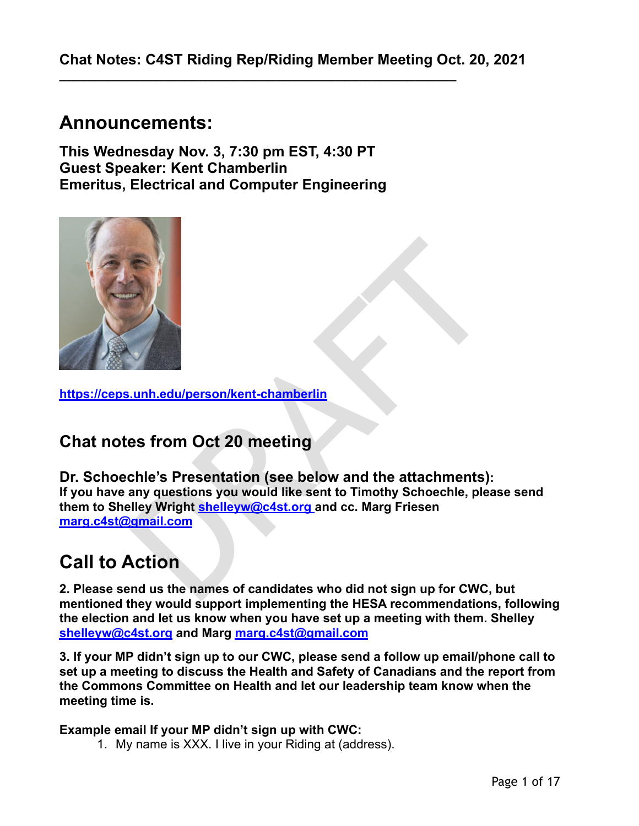**\_\_\_\_\_\_\_\_\_\_\_\_\_\_\_\_\_\_\_\_\_\_\_\_\_\_\_\_\_\_\_\_\_\_\_\_\_\_\_\_\_\_\_\_\_\_\_\_\_\_\_\_\_\_\_\_\_** 

# **Announcements:**

**This Wednesday Nov. 3, 7:30 pm EST, 4:30 PT Guest Speaker: Kent Chamberlin Emeritus, Electrical and Computer Engineering** 



**<https://ceps.unh.edu/person/kent-chamberlin>** 

# **Chat notes from Oct 20 meeting**

**Example 12**<br> **Example 12**<br> **Example 12**<br> **Example 12**<br> **Example 12**<br> **Example 12**<br> **Example 12**<br> **Example 12**<br> **Example 12**<br> **Example 12**<br> **Example 12**<br> **Example 12**<br> **Example 12**<br> **Example 12**<br> **Action**<br> **Action**<br> **Actio Dr. Schoechle's Presentation (see below and the attachments): If you have any questions you would like sent to Timothy Schoechle, please send them to Shelley Wright shelleyw@c4st.org and cc. Marg Friesen [marg.c4st@gmail.com](mailto:marg.c4st@gmail.com)**

# **Call to Action**

**2. Please send us the names of candidates who did not sign up for CWC, but mentioned they would support implementing the HESA recommendations, following the election and let us know when you have set up a meeting with them. Shelley [shelleyw@c4st.org](mailto:shelleyw@c4st.org) and Marg [marg.c4st@gmail.com](mailto:marg.c4st@gmail.com)**

**3. If your MP didn't sign up to our CWC, please send a follow up email/phone call to set up a meeting to discuss the Health and Safety of Canadians and the report from the Commons Committee on Health and let our leadership team know when the meeting time is.** 

**Example email If your MP didn't sign up with CWC:** 

1. My name is XXX. I live in your Riding at (address).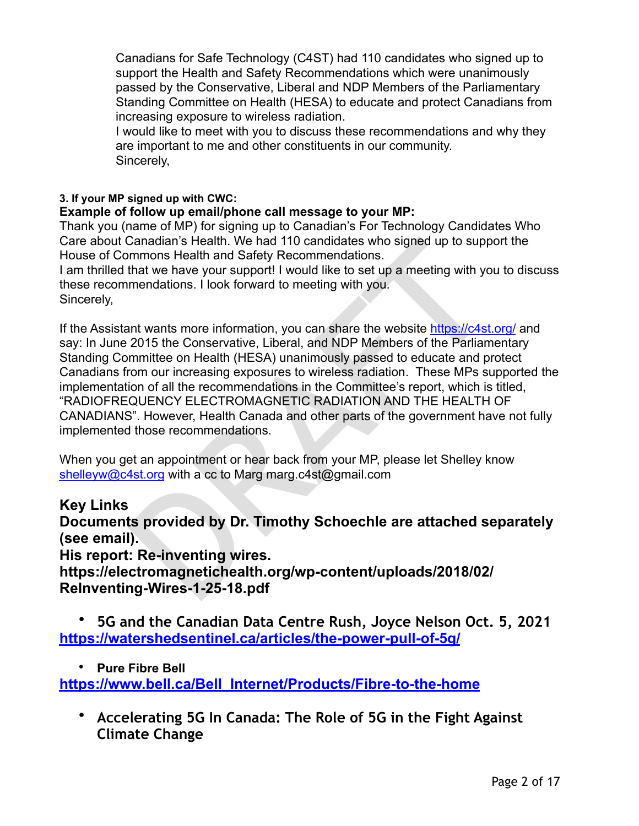Canadians for Safe Technology (C4ST) had 110 candidates who signed up to support the Health and Safety Recommendations which were unanimously passed by the Conservative, Liberal and NDP Members of the Parliamentary Standing Committee on Health (HESA) to educate and protect Canadians from increasing exposure to wireless radiation.

I would like to meet with you to discuss these recommendations and why they are important to me and other constituents in our community. Sincerely,

# **3. If your MP signed up with CWC:**

# **Example of follow up email/phone call message to your MP:**

Thank you (name of MP) for signing up to Canadian's For Technology Candidates Who Care about Canadian's Health. We had 110 candidates who signed up to support the House of Commons Health and Safety Recommendations.

I am thrilled that we have your support! I would like to set up a meeting with you to discuss these recommendations. I look forward to meeting with you. Sincerely,

Canadian's Health. We had 110 candidates who signed up to supp<br>mmons Health and Safety Recommendations.<br>that we have your support! I would like to set up a meeting with yo<br>mendations. I look forward to meeting with you.<br>an If the Assistant wants more information, you can share the website<https://c4st.org/> and say: In June 2015 the Conservative, Liberal, and NDP Members of the Parliamentary Standing Committee on Health (HESA) unanimously passed to educate and protect Canadians from our increasing exposures to wireless radiation. These MPs supported the implementation of all the recommendations in the Committee's report, which is titled, "RADIOFREQUENCY ELECTROMAGNETIC RADIATION AND THE HEALTH OF CANADIANS". However, Health Canada and other parts of the government have not fully implemented those recommendations.

When you get an appointment or hear back from your MP, please let Shelley know [shelleyw@c4st.org](mailto:shelleyw@c4st.org) with a cc to Marg marg.c4st@gmail.com

# **Key Links**

**Documents provided by Dr. Timothy Schoechle are attached separately (see email).** 

# **His report: Re-inventing wires.**

**https://electromagnetichealth.org/wp-content/uploads/2018/02/ ReInventing-Wires-1-25-18.pdf** 

• **5G and the Canadian Data Centre Rush, Joyce Nelson Oct. 5, 2021 <https://watershedsentinel.ca/articles/the-power-pull-of-5g/>**

• **Pure Fibre Bell** 

**[https://www.bell.ca/Bell\\_Internet/Products/Fibre-to-the-home](https://www.bell.ca/Bell_Internet/Products/Fibre-to-the-home)**

• **Accelerating 5G In Canada: The Role of 5G in the Fight Against Climate Change**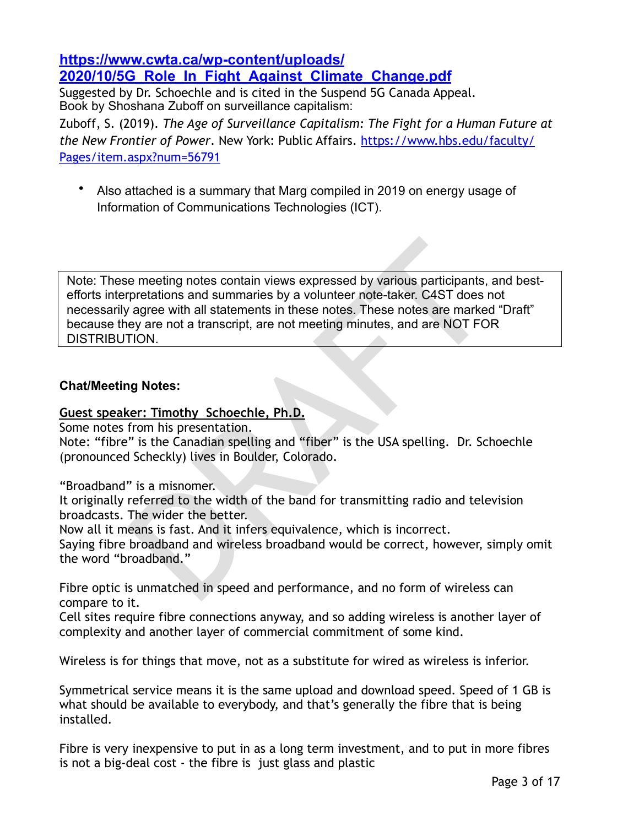# **[https://www.cwta.ca/wp-content/uploads/](https://www.cwta.ca/wp-content/uploads/2020/10/5G_Role_In_Fight_Against_Climate_Change.pdf) [2020/10/5G\\_Role\\_In\\_Fight\\_Against\\_Climate\\_Change.pdf](https://www.cwta.ca/wp-content/uploads/2020/10/5G_Role_In_Fight_Against_Climate_Change.pdf)**

Suggested by Dr. Schoechle and is cited in the Suspend 5G Canada Appeal. Book by Shoshana Zuboff on surveillance capitalism:

Zuboff, S. (2019). *The Age of Surveillance Capitalism: The Fight for a Human Future at the New Frontier of Power*. New York: Public Affairs. [https://www.hbs.edu/faculty/](https://www.hbs.edu/faculty/Pages/item.aspx?num=56791) [Pages/item.aspx?num=56791](https://www.hbs.edu/faculty/Pages/item.aspx?num=56791)

• Also attached is a summary that Marg compiled in 2019 on energy usage of Information of Communications Technologies (ICT).

e meeting notes contain views expressed by various participants,<br>pretations and summaries by a volunteer note-taker. C4ST does n<br>agree with all statements in these notes. These notes are marked<br>ey are not a transcript, are Note: These meeting notes contain views expressed by various participants, and bestefforts interpretations and summaries by a volunteer note-taker. C4ST does not necessarily agree with all statements in these notes. These notes are marked "Draft" because they are not a transcript, are not meeting minutes, and are NOT FOR DISTRIBUTION.

# **Chat/Meeting Notes:**

#### **Guest speaker: Timothy Schoechle, Ph.D.**

Some notes from his presentation.

Note: "fibre" is the Canadian spelling and "fiber" is the USA spelling. Dr. Schoechle (pronounced Scheckly) lives in Boulder, Colorado.

"Broadband" is a misnomer.

It originally referred to the width of the band for transmitting radio and television broadcasts. The wider the better.

Now all it means is fast. And it infers equivalence, which is incorrect.

Saying fibre broadband and wireless broadband would be correct, however, simply omit the word "broadband."

Fibre optic is unmatched in speed and performance, and no form of wireless can compare to it.

Cell sites require fibre connections anyway, and so adding wireless is another layer of complexity and another layer of commercial commitment of some kind.

Wireless is for things that move, not as a substitute for wired as wireless is inferior.

Symmetrical service means it is the same upload and download speed. Speed of 1 GB is what should be available to everybody, and that's generally the fibre that is being installed.

Fibre is very inexpensive to put in as a long term investment, and to put in more fibres is not a big-deal cost - the fibre is just glass and plastic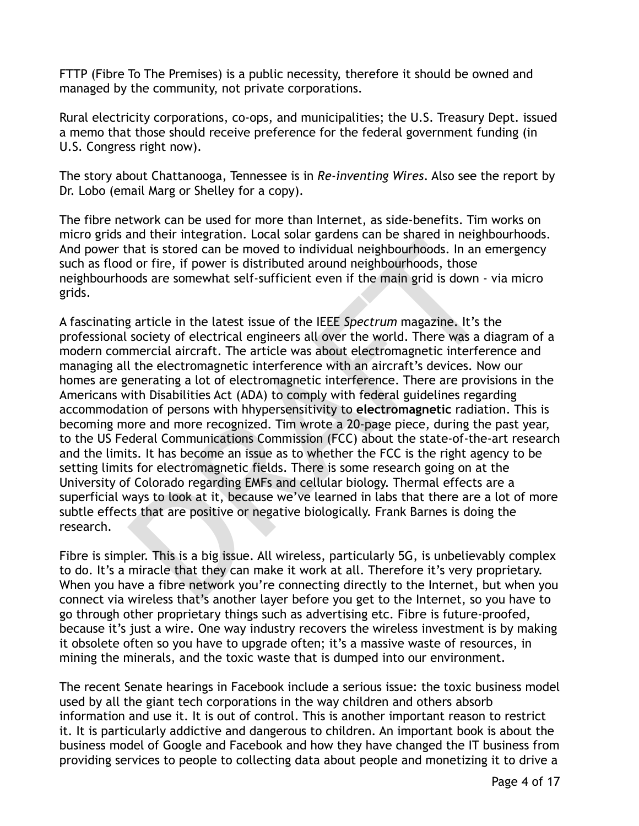FTTP (Fibre To The Premises) is a public necessity, therefore it should be owned and managed by the community, not private corporations.

Rural electricity corporations, co-ops, and municipalities; the U.S. Treasury Dept. issued a memo that those should receive preference for the federal government funding (in U.S. Congress right now).

The story about Chattanooga, Tennessee is in *Re-inventing Wires*. Also see the report by Dr. Lobo (email Marg or Shelley for a copy).

The fibre network can be used for more than Internet, as side-benefits. Tim works on micro grids and their integration. Local solar gardens can be shared in neighbourhoods. And power that is stored can be moved to individual neighbourhoods. In an emergency such as flood or fire, if power is distributed around neighbourhoods, those neighbourhoods are somewhat self-sufficient even if the main grid is down - via micro grids.

and their integration: Locat souri gauters and be that is its order in the since in that is its ored can be moved to individual neighbourhoods, those ords are somewhat self-sufficient even if the main grid is down - v<br>and A fascinating article in the latest issue of the IEEE *Spectrum* magazine. It's the professional society of electrical engineers all over the world. There was a diagram of a modern commercial aircraft. The article was about electromagnetic interference and managing all the electromagnetic interference with an aircraft's devices. Now our homes are generating a lot of electromagnetic interference. There are provisions in the Americans with Disabilities Act (ADA) to comply with federal guidelines regarding accommodation of persons with hhypersensitivity to **electromagnetic** radiation. This is becoming more and more recognized. Tim wrote a 20-page piece, during the past year, to the US Federal Communications Commission (FCC) about the state-of-the-art research and the limits. It has become an issue as to whether the FCC is the right agency to be setting limits for electromagnetic fields. There is some research going on at the University of Colorado regarding EMFs and cellular biology. Thermal effects are a superficial ways to look at it, because we've learned in labs that there are a lot of more subtle effects that are positive or negative biologically. Frank Barnes is doing the research.

Fibre is simpler. This is a big issue. All wireless, particularly 5G, is unbelievably complex to do. It's a miracle that they can make it work at all. Therefore it's very proprietary. When you have a fibre network you're connecting directly to the Internet, but when you connect via wireless that's another layer before you get to the Internet, so you have to go through other proprietary things such as advertising etc. Fibre is future-proofed, because it's just a wire. One way industry recovers the wireless investment is by making it obsolete often so you have to upgrade often; it's a massive waste of resources, in mining the minerals, and the toxic waste that is dumped into our environment.

The recent Senate hearings in Facebook include a serious issue: the toxic business model used by all the giant tech corporations in the way children and others absorb information and use it. It is out of control. This is another important reason to restrict it. It is particularly addictive and dangerous to children. An important book is about the business model of Google and Facebook and how they have changed the IT business from providing services to people to collecting data about people and monetizing it to drive a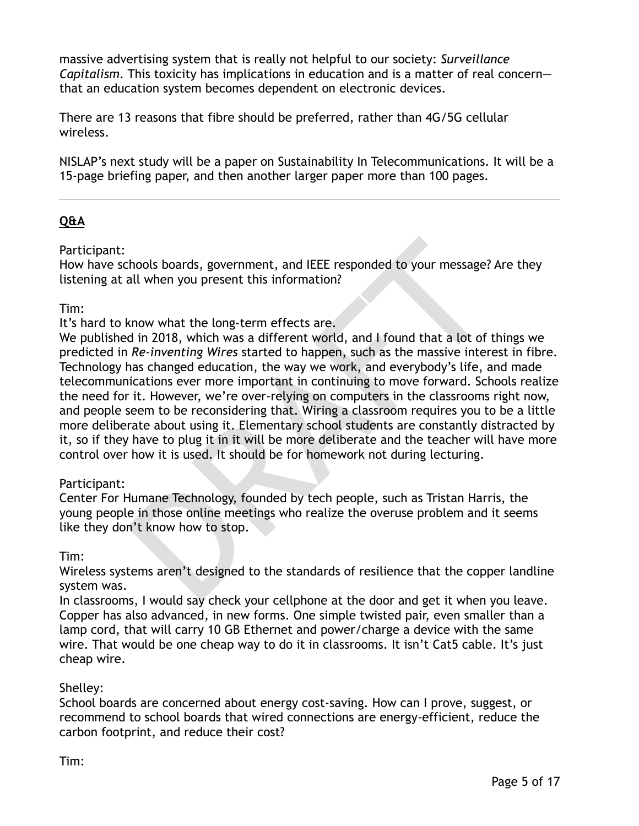massive advertising system that is really not helpful to our society: *Surveillance Capitalism*. This toxicity has implications in education and is a matter of real concern that an education system becomes dependent on electronic devices.

There are 13 reasons that fibre should be preferred, rather than 4G/5G cellular wireless.

NISLAP's next study will be a paper on Sustainability In Telecommunications. It will be a 15-page briefing paper, and then another larger paper more than 100 pages.

# **Q&A**

Participant:

How have schools boards, government, and IEEE responded to your message? Are they listening at all when you present this information?

# Tim:

It's hard to know what the long-term effects are.

thools boards, government, and IEEE responded to your message?<br>
All when you present this information?<br>
Standard When you present this information?<br>
Standard Mark and I found that a lot of Re-inventing Wires started to hap We published in 2018, which was a different world, and I found that a lot of things we predicted in *Re-inventing Wires* started to happen, such as the massive interest in fibre. Technology has changed education, the way we work, and everybody's life, and made telecommunications ever more important in continuing to move forward. Schools realize the need for it. However, we're over-relying on computers in the classrooms right now, and people seem to be reconsidering that. Wiring a classroom requires you to be a little more deliberate about using it. Elementary school students are constantly distracted by it, so if they have to plug it in it will be more deliberate and the teacher will have more control over how it is used. It should be for homework not during lecturing.

# Participant:

Center For Humane Technology, founded by tech people, such as Tristan Harris, the young people in those online meetings who realize the overuse problem and it seems like they don't know how to stop.

# Tim:

Wireless systems aren't designed to the standards of resilience that the copper landline system was.

In classrooms, I would say check your cellphone at the door and get it when you leave. Copper has also advanced, in new forms. One simple twisted pair, even smaller than a lamp cord, that will carry 10 GB Ethernet and power/charge a device with the same wire. That would be one cheap way to do it in classrooms. It isn't Cat5 cable. It's just cheap wire.

# Shelley:

School boards are concerned about energy cost-saving. How can I prove, suggest, or recommend to school boards that wired connections are energy-efficient, reduce the carbon footprint, and reduce their cost?

Tim: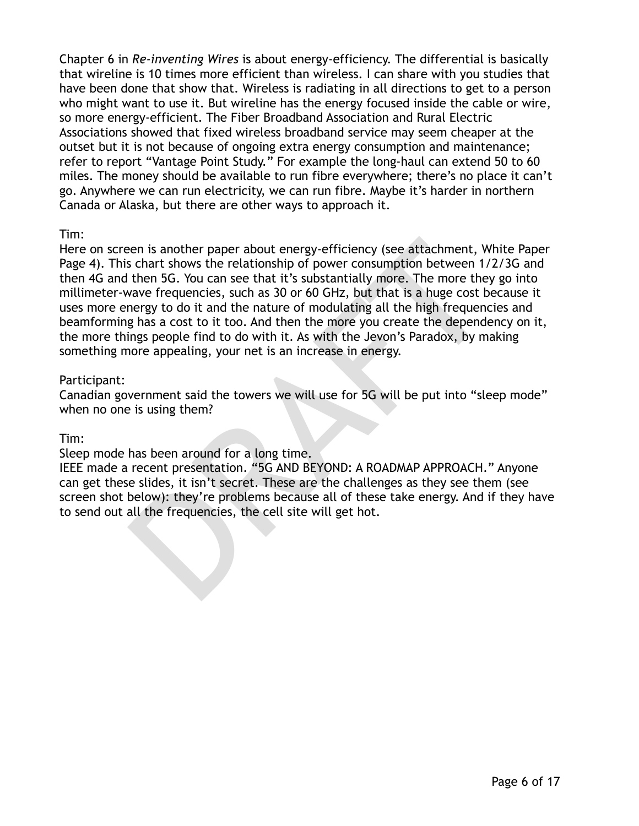Chapter 6 in *Re-inventing Wires* is about energy-efficiency. The differential is basically that wireline is 10 times more efficient than wireless. I can share with you studies that have been done that show that. Wireless is radiating in all directions to get to a person who might want to use it. But wireline has the energy focused inside the cable or wire, so more energy-efficient. The Fiber Broadband Association and Rural Electric Associations showed that fixed wireless broadband service may seem cheaper at the outset but it is not because of ongoing extra energy consumption and maintenance; refer to report "Vantage Point Study." For example the long-haul can extend 50 to 60 miles. The money should be available to run fibre everywhere; there's no place it can't go. Anywhere we can run electricity, we can run fibre. Maybe it's harder in northern Canada or Alaska, but there are other ways to approach it.

#### Tim:

een is another paper about energy-efficiency (see attachment, W, s chart shows the relationship of power consumption between 1/2, then 5G. You can see that it's substantially more. The more they wave frequencies, such as 3 Here on screen is another paper about energy-efficiency (see attachment, White Paper Page 4). This chart shows the relationship of power consumption between 1/2/3G and then 4G and then 5G. You can see that it's substantially more. The more they go into millimeter-wave frequencies, such as 30 or 60 GHz, but that is a huge cost because it uses more energy to do it and the nature of modulating all the high frequencies and beamforming has a cost to it too. And then the more you create the dependency on it, the more things people find to do with it. As with the Jevon's Paradox, by making something more appealing, your net is an increase in energy.

#### Participant:

Canadian government said the towers we will use for 5G will be put into "sleep mode" when no one is using them?

Tim:

Sleep mode has been around for a long time.

IEEE made a recent presentation. "5G AND BEYOND: A ROADMAP APPROACH." Anyone can get these slides, it isn't secret. These are the challenges as they see them (see screen shot below): they're problems because all of these take energy. And if they have to send out all the frequencies, the cell site will get hot.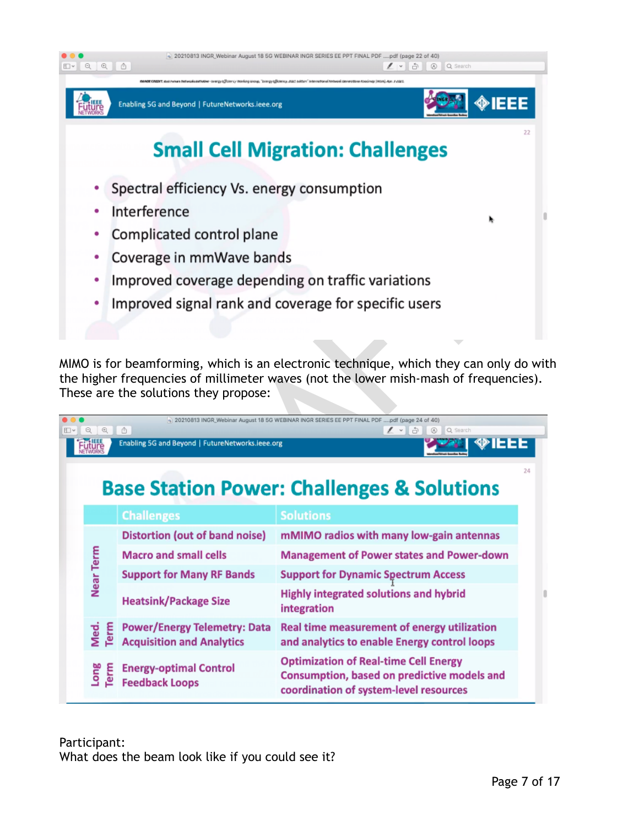

|                     | Complicated control plane                                               |                                                                                                                                                                               |    |
|---------------------|-------------------------------------------------------------------------|-------------------------------------------------------------------------------------------------------------------------------------------------------------------------------|----|
|                     | Coverage in mmWave bands                                                |                                                                                                                                                                               |    |
| ٠                   |                                                                         | Improved coverage depending on traffic variations                                                                                                                             |    |
| ٠                   |                                                                         | Improved signal rank and coverage for specific users                                                                                                                          |    |
|                     |                                                                         |                                                                                                                                                                               |    |
|                     |                                                                         |                                                                                                                                                                               |    |
|                     | These are the solutions they propose:                                   | MIMO is for beamforming, which is an electronic technique, which they can only do wit<br>the higher frequencies of millimeter waves (not the lower mish-mash of frequencies). |    |
| $\mathfrak{A}$<br>Q | A                                                                       | n) 20210813 INGR_Webinar August 18 5G WEBINAR INGR SERIES EE PPT FINAL PDF pdf (page 24 of 40)<br>$\prime\sim$<br>Ò<br><b>A</b> Q Search                                      |    |
|                     | Enabling 5G and Beyond   FutureNetworks.ieee.org                        |                                                                                                                                                                               |    |
| <b>uture</b>        |                                                                         |                                                                                                                                                                               |    |
|                     |                                                                         |                                                                                                                                                                               | 24 |
|                     |                                                                         | <b>Base Station Power: Challenges &amp; Solutions</b>                                                                                                                         |    |
|                     | <b>Challenges</b>                                                       | <b>Solutions</b>                                                                                                                                                              |    |
|                     | <b>Distortion (out of band noise)</b>                                   | mMIMO radios with many low-gain antennas                                                                                                                                      |    |
|                     | <b>Macro and small cells</b>                                            | <b>Management of Power states and Power-down</b>                                                                                                                              |    |
|                     | <b>Support for Many RF Bands</b>                                        | <b>Support for Dynamic Spectrum Access</b>                                                                                                                                    |    |
| Near Term           | <b>Heatsink/Package Size</b>                                            | <b>Highly integrated solutions and hybrid</b><br>integration                                                                                                                  |    |
| Med.<br>Term        | <b>Power/Energy Telemetry: Data</b><br><b>Acquisition and Analytics</b> | Real time measurement of energy utilization<br>and analytics to enable Energy control loops                                                                                   |    |

Participant: What does the beam look like if you could see it?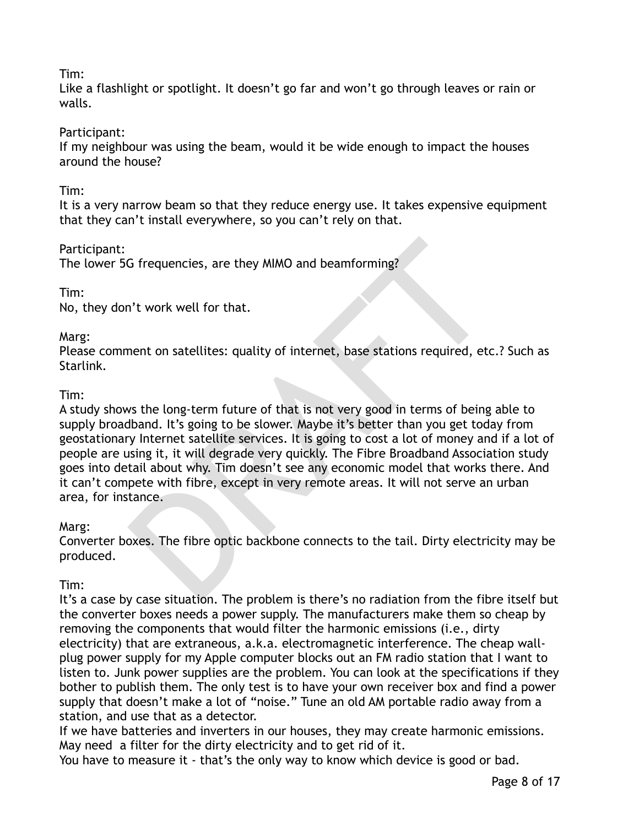# Tim:

Like a flashlight or spotlight. It doesn't go far and won't go through leaves or rain or walls.

# Participant:

If my neighbour was using the beam, would it be wide enough to impact the houses around the house?

# Tim:

It is a very narrow beam so that they reduce energy use. It takes expensive equipment that they can't install everywhere, so you can't rely on that.

# Participant:

The lower 5G frequencies, are they MIMO and beamforming?

# Tim:

No, they don't work well for that.

# Marg:

Please comment on satellites: quality of internet, base stations required, etc.? Such as Starlink.

# Tim:

G frequencies, are they MIMO and beamforming?<br>
"It work well for that.<br>
nent on satellites: quality of internet, base stations required, etc<br>
stations required, etc<br>
stations are long-term future of that is not very good i A study shows the long-term future of that is not very good in terms of being able to supply broadband. It's going to be slower. Maybe it's better than you get today from geostationary Internet satellite services. It is going to cost a lot of money and if a lot of people are using it, it will degrade very quickly. The Fibre Broadband Association study goes into detail about why. Tim doesn't see any economic model that works there. And it can't compete with fibre, except in very remote areas. It will not serve an urban area, for instance.

#### Marg:

Converter boxes. The fibre optic backbone connects to the tail. Dirty electricity may be produced.

# Tim:

It's a case by case situation. The problem is there's no radiation from the fibre itself but the converter boxes needs a power supply. The manufacturers make them so cheap by removing the components that would filter the harmonic emissions (i.e., dirty electricity) that are extraneous, a.k.a. electromagnetic interference. The cheap wallplug power supply for my Apple computer blocks out an FM radio station that I want to listen to. Junk power supplies are the problem. You can look at the specifications if they bother to publish them. The only test is to have your own receiver box and find a power supply that doesn't make a lot of "noise." Tune an old AM portable radio away from a station, and use that as a detector.

If we have batteries and inverters in our houses, they may create harmonic emissions. May need a filter for the dirty electricity and to get rid of it.

You have to measure it - that's the only way to know which device is good or bad.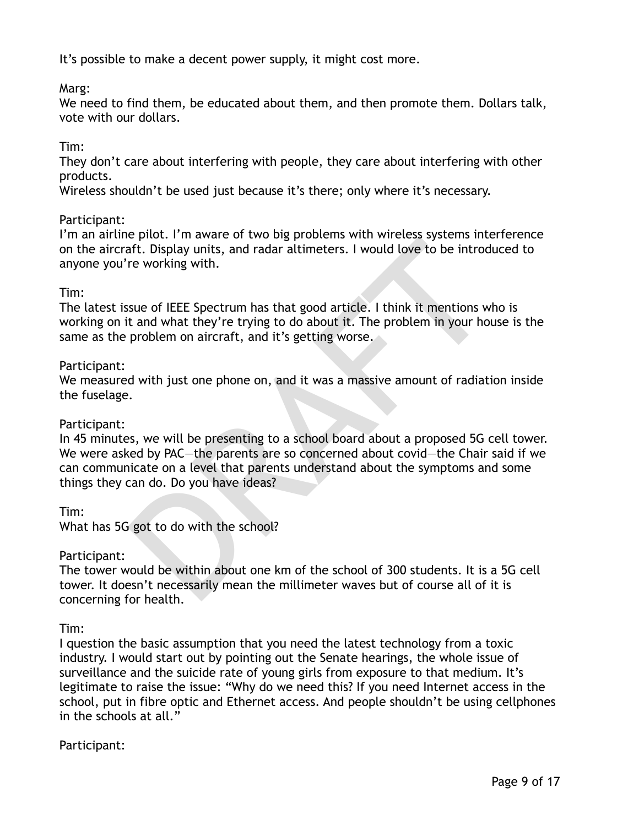It's possible to make a decent power supply, it might cost more.

Marg:

We need to find them, be educated about them, and then promote them. Dollars talk, vote with our dollars.

# Tim:

They don't care about interfering with people, they care about interfering with other products.

Wireless shouldn't be used just because it's there; only where it's necessary.

# Participant:

I'm an airline pilot. I'm aware of two big problems with wireless systems interference on the aircraft. Display units, and radar altimeters. I would love to be introduced to anyone you're working with.

# Tim:

The latest issue of IEEE Spectrum has that good article. I think it mentions who is working on it and what they're trying to do about it. The problem in your house is the same as the problem on aircraft, and it's getting worse.

# Participant:

We measured with just one phone on, and it was a massive amount of radiation inside the fuselage.

#### Participant:

be proof. I'm aware of two big problems which can<br>aft. Display units, and radar altimeters. I would love to be introduction<br>for working with.<br>sue of IEEE Spectrum has that good article. I think it mentions wit<br>and what the In 45 minutes, we will be presenting to a school board about a proposed 5G cell tower. We were asked by PAC—the parents are so concerned about covid—the Chair said if we can communicate on a level that parents understand about the symptoms and some things they can do. Do you have ideas?

Tim:

What has 5G got to do with the school?

#### Participant:

The tower would be within about one km of the school of 300 students. It is a 5G cell tower. It doesn't necessarily mean the millimeter waves but of course all of it is concerning for health.

# Tim:

I question the basic assumption that you need the latest technology from a toxic industry. I would start out by pointing out the Senate hearings, the whole issue of surveillance and the suicide rate of young girls from exposure to that medium. It's legitimate to raise the issue: "Why do we need this? If you need Internet access in the school, put in fibre optic and Ethernet access. And people shouldn't be using cellphones in the schools at all."

# Participant: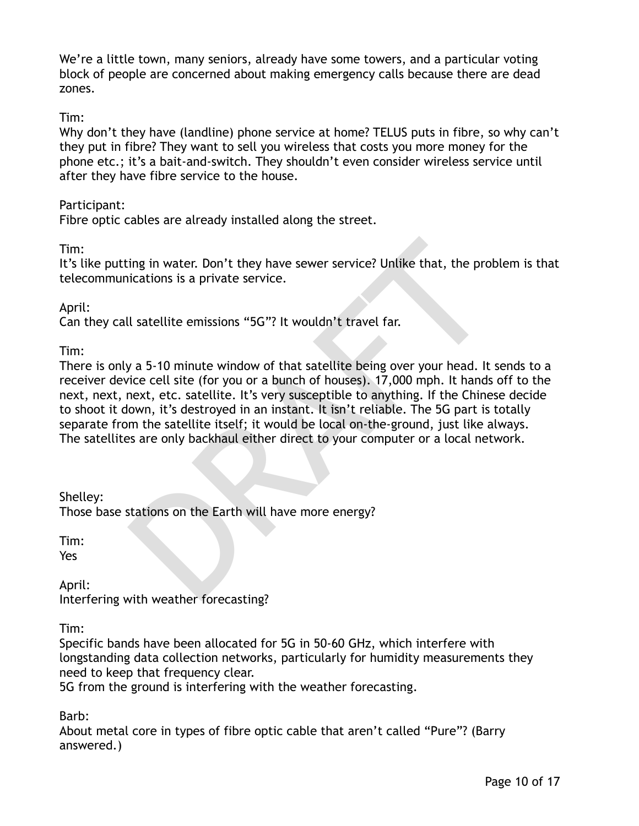We're a little town, many seniors, already have some towers, and a particular voting block of people are concerned about making emergency calls because there are dead zones.

Tim:

Why don't they have (landline) phone service at home? TELUS puts in fibre, so why can't they put in fibre? They want to sell you wireless that costs you more money for the phone etc.; it's a bait-and-switch. They shouldn't even consider wireless service until after they have fibre service to the house.

# Participant:

Fibre optic cables are already installed along the street.

Tim:

It's like putting in water. Don't they have sewer service? Unlike that, the problem is that telecommunications is a private service.

April:

Can they call satellite emissions "5G"? It wouldn't travel far.

Tim:

ing in water. Don't they have sewer service? Unlike that, the prolications is a private service.<br>
Il satellite emissions "5G"? It wouldn't travel far.<br>
y a 5-10 minute window of that satellite being over your head. It<br>
yie There is only a 5-10 minute window of that satellite being over your head. It sends to a receiver device cell site (for you or a bunch of houses). 17,000 mph. It hands off to the next, next, next, etc. satellite. It's very susceptible to anything. If the Chinese decide to shoot it down, it's destroyed in an instant. It isn't reliable. The 5G part is totally separate from the satellite itself; it would be local on-the-ground, just like always. The satellites are only backhaul either direct to your computer or a local network.

Shelley:

Those base stations on the Earth will have more energy?

Tim: Yes

April: Interfering with weather forecasting?

Tim:

Specific bands have been allocated for 5G in 50-60 GHz, which interfere with longstanding data collection networks, particularly for humidity measurements they need to keep that frequency clear.

5G from the ground is interfering with the weather forecasting.

Barb:

About metal core in types of fibre optic cable that aren't called "Pure"? (Barry answered.)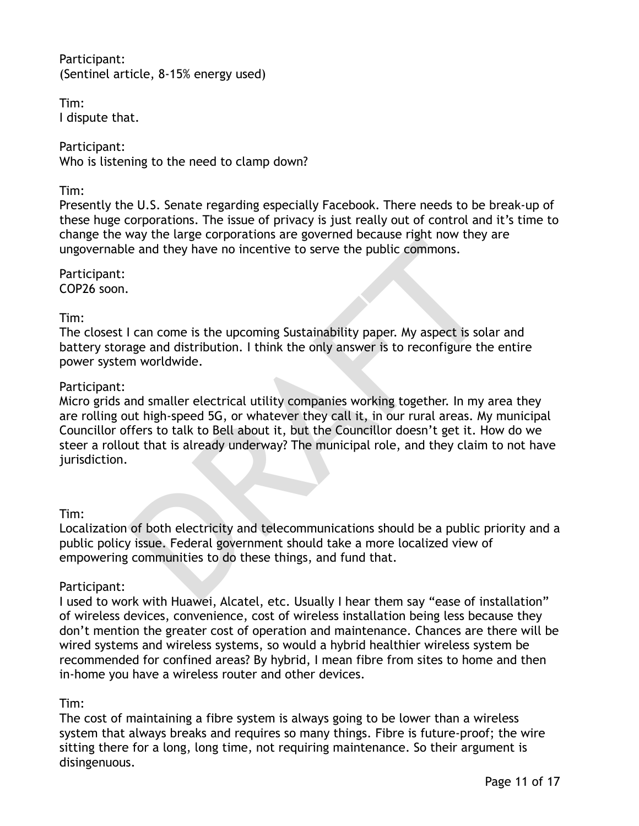Participant: (Sentinel article, 8-15% energy used)

Tim: I dispute that.

Participant: Who is listening to the need to clamp down?

#### Tim:

Presently the U.S. Senate regarding especially Facebook. There needs to be break-up of these huge corporations. The issue of privacy is just really out of control and it's time to change the way the large corporations are governed because right now they are ungovernable and they have no incentive to serve the public commons.

Participant: COP26 soon.

# Tim:

The closest I can come is the upcoming Sustainability paper. My aspect is solar and battery storage and distribution. I think the only answer is to reconfigure the entire power system worldwide.

# Participant:

Way the targe corporations are governed because right now they are and they have no incentive to serve the public commons.<br>
<br>
<br>
I can come is the upcoming Sustainability paper. My aspect is sola<br>
<br>
age and distribution. I Micro grids and smaller electrical utility companies working together. In my area they are rolling out high-speed 5G, or whatever they call it, in our rural areas. My municipal Councillor offers to talk to Bell about it, but the Councillor doesn't get it. How do we steer a rollout that is already underway? The municipal role, and they claim to not have jurisdiction.

#### Tim:

Localization of both electricity and telecommunications should be a public priority and a public policy issue. Federal government should take a more localized view of empowering communities to do these things, and fund that.

# Participant:

I used to work with Huawei, Alcatel, etc. Usually I hear them say "ease of installation" of wireless devices, convenience, cost of wireless installation being less because they don't mention the greater cost of operation and maintenance. Chances are there will be wired systems and wireless systems, so would a hybrid healthier wireless system be recommended for confined areas? By hybrid, I mean fibre from sites to home and then in-home you have a wireless router and other devices.

# Tim:

The cost of maintaining a fibre system is always going to be lower than a wireless system that always breaks and requires so many things. Fibre is future-proof; the wire sitting there for a long, long time, not requiring maintenance. So their argument is disingenuous.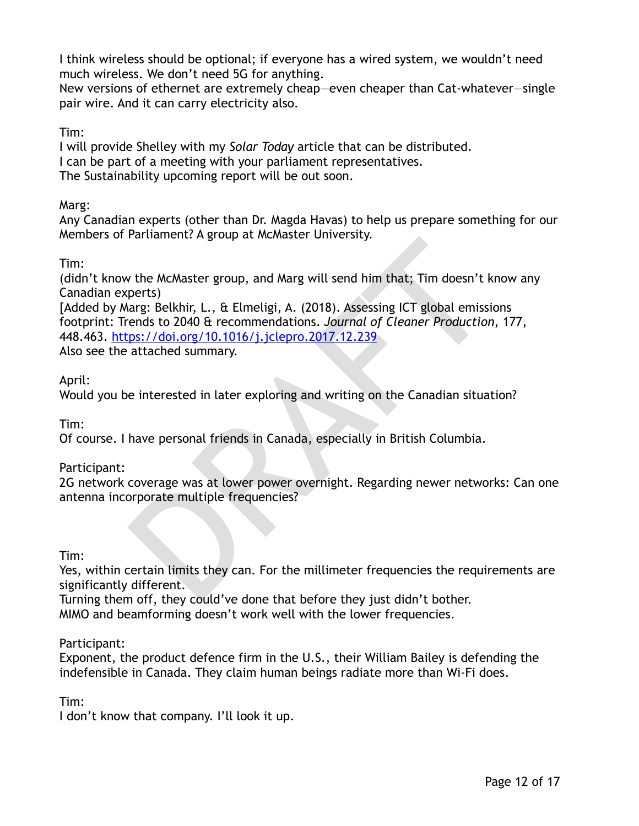I think wireless should be optional; if everyone has a wired system, we wouldn't need much wireless. We don't need 5G for anything.

New versions of ethernet are extremely cheap—even cheaper than Cat-whatever—single pair wire. And it can carry electricity also.

Tim:

I will provide Shelley with my *Solar Today* article that can be distributed.

I can be part of a meeting with your parliament representatives.

The Sustainability upcoming report will be out soon.

Marg:

Any Canadian experts (other than Dr. Magda Havas) to help us prepare something for our Members of Parliament? A group at McMaster University.

Tim:

(didn't know the McMaster group, and Marg will send him that; Tim doesn't know any Canadian experts)

*x* the McMaster group, and Marg will send him that; Tim doesn't k<br>perts)<br>perts arg: Belkhir, L., & Elmeligi, A. (2018). Assessing ICT global emissi-<br>rends to 2040 & recommendations. Journal of Cleaner Production<br>ps://doi. [Added by Marg: Belkhir, L., & Elmeligi, A. (2018). Assessing ICT global emissions footprint: Trends to 2040 & recommendations. *Journal of Cleaner Production*, 177, 448.463. https://doi.org/10.1016/j.jclepro.2017.12.239

Also see the attached summary.

April:

Would you be interested in later exploring and writing on the Canadian situation?

Tim:

Of course. I have personal friends in Canada, especially in British Columbia.

Participant:

2G network coverage was at lower power overnight. Regarding newer networks: Can one antenna incorporate multiple frequencies?

Tim:

Yes, within certain limits they can. For the millimeter frequencies the requirements are significantly different.

Turning them off, they could've done that before they just didn't bother. MIMO and beamforming doesn't work well with the lower frequencies.

Participant:

Exponent, the product defence firm in the U.S., their William Bailey is defending the indefensible in Canada. They claim human beings radiate more than Wi-Fi does.

Tim:

I don't know that company. I'll look it up.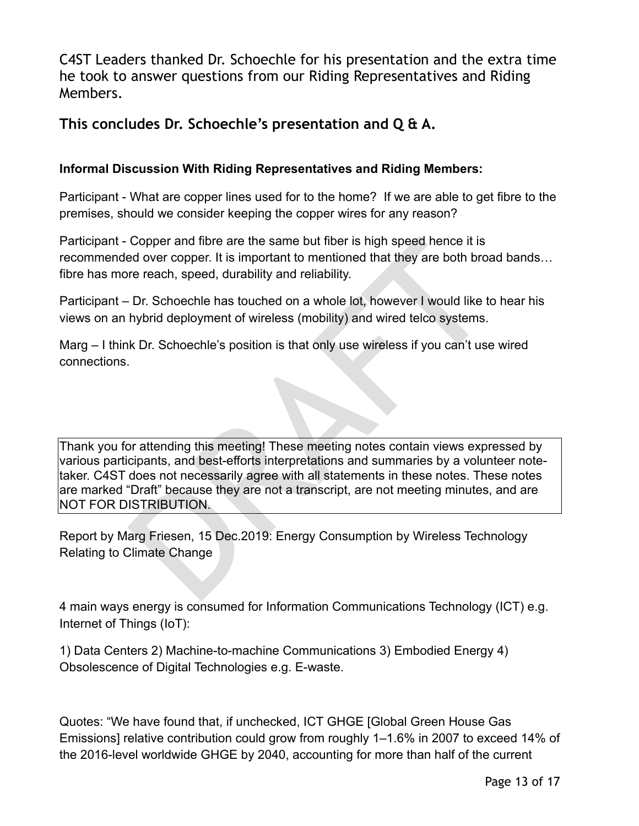C4ST Leaders thanked Dr. Schoechle for his presentation and the extra time he took to answer questions from our Riding Representatives and Riding Members.

# **This concludes Dr. Schoechle's presentation and Q & A.**

# **Informal Discussion With Riding Representatives and Riding Members:**

Participant - What are copper lines used for to the home? If we are able to get fibre to the premises, should we consider keeping the copper wires for any reason?

Participant - Copper and fibre are the same but fiber is high speed hence it is recommended over copper. It is important to mentioned that they are both broad bands… fibre has more reach, speed, durability and reliability.

Participant – Dr. Schoechle has touched on a whole lot, however I would like to hear his views on an hybrid deployment of wireless (mobility) and wired telco systems.

Marg – I think Dr. Schoechle's position is that only use wireless if you can't use wired connections.

Copper and fibre are the same but fiber is high speed hence it is<br>ed over copper. It is important to mentioned that they are both broater reach, speed, durability and reliability.<br>Dr. Schoechle has touched on a whole lot, Thank you for attending this meeting! These meeting notes contain views expressed by various participants, and best-efforts interpretations and summaries by a volunteer notetaker. C4ST does not necessarily agree with all statements in these notes. These notes are marked "Draft" because they are not a transcript, are not meeting minutes, and are NOT FOR DISTRIBUTION.

Report by Marg Friesen, 15 Dec.2019: Energy Consumption by Wireless Technology Relating to Climate Change

4 main ways energy is consumed for Information Communications Technology (ICT) e.g. Internet of Things (IoT):

1) Data Centers 2) Machine-to-machine Communications 3) Embodied Energy 4) Obsolescence of Digital Technologies e.g. E-waste.

Quotes: "We have found that, if unchecked, ICT GHGE [Global Green House Gas Emissions] relative contribution could grow from roughly 1–1.6% in 2007 to exceed 14% of the 2016-level worldwide GHGE by 2040, accounting for more than half of the current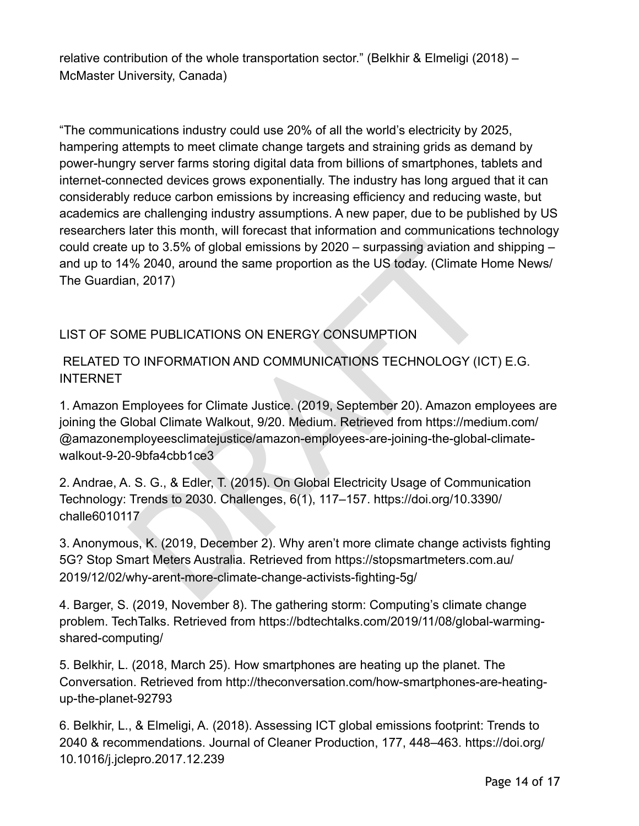relative contribution of the whole transportation sector." (Belkhir & Elmeligi (2018) – McMaster University, Canada)

"The communications industry could use 20% of all the world's electricity by 2025, hampering attempts to meet climate change targets and straining grids as demand by power-hungry server farms storing digital data from billions of smartphones, tablets and internet-connected devices grows exponentially. The industry has long argued that it can considerably reduce carbon emissions by increasing efficiency and reducing waste, but academics are challenging industry assumptions. A new paper, due to be published by US researchers later this month, will forecast that information and communications technology could create up to 3.5% of global emissions by 2020 – surpassing aviation and shipping – and up to 14% 2040, around the same proportion as the US today. (Climate Home News/ The Guardian, 2017)

# LIST OF SOME PUBLICATIONS ON ENERGY CONSUMPTION

# RELATED TO INFORMATION AND COMMUNICATIONS TECHNOLOGY (ICT) E.G. **INTERNET**

up to 3.5% of global emissions by 2020 – surpassing aviation and<br>
% 2040, around the same proportion as the US today. (Climate Hc<br>
in, 2017)<br>
ME PUBLICATIONS ON ENERGY CONSUMPTION<br>
ME PUBLICATIONS ON ENERGY CONSUMPTION<br>
TO 1. Amazon Employees for Climate Justice. (2019, September 20). Amazon employees are joining the Global Climate Walkout, 9/20. Medium. Retrieved from https://medium.com/ @amazonemployeesclimatejustice/amazon-employees-are-joining-the-global-climatewalkout-9-20-9bfa4cbb1ce3

2. Andrae, A. S. G., & Edler, T. (2015). On Global Electricity Usage of Communication Technology: Trends to 2030. Challenges, 6(1), 117–157. https://doi.org/10.3390/ challe6010117

3. Anonymous, K. (2019, December 2). Why aren't more climate change activists fighting 5G? Stop Smart Meters Australia. Retrieved from https://stopsmartmeters.com.au/ 2019/12/02/why-arent-more-climate-change-activists-fighting-5g/

4. Barger, S. (2019, November 8). The gathering storm: Computing's climate change problem. TechTalks. Retrieved from https://bdtechtalks.com/2019/11/08/global-warmingshared-computing/

5. Belkhir, L. (2018, March 25). How smartphones are heating up the planet. The Conversation. Retrieved from http://theconversation.com/how-smartphones-are-heatingup-the-planet-92793

6. Belkhir, L., & Elmeligi, A. (2018). Assessing ICT global emissions footprint: Trends to 2040 & recommendations. Journal of Cleaner Production, 177, 448–463. https://doi.org/ 10.1016/j.jclepro.2017.12.239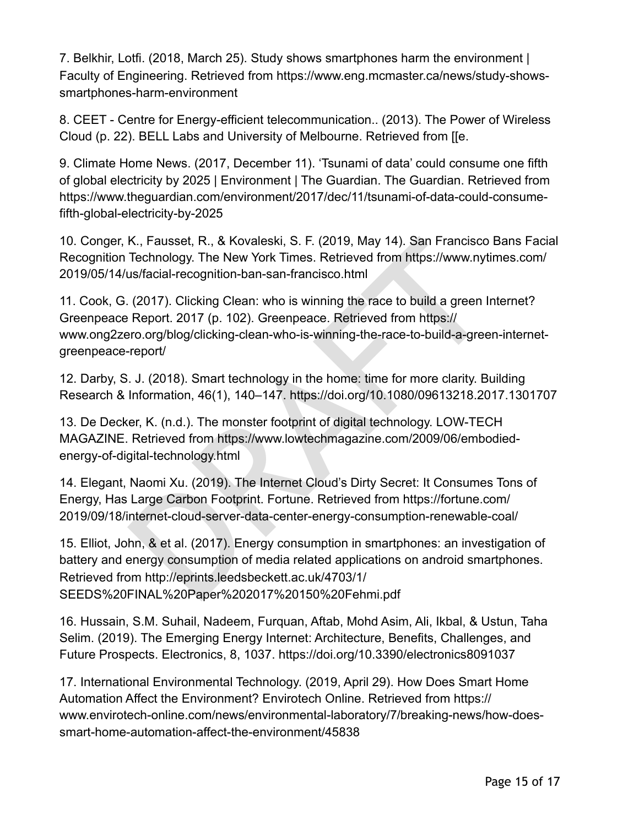7. Belkhir, Lotfi. (2018, March 25). Study shows smartphones harm the environment | Faculty of Engineering. Retrieved from https://www.eng.mcmaster.ca/news/study-showssmartphones-harm-environment

8. CEET - Centre for Energy-efficient telecommunication.. (2013). The Power of Wireless Cloud (p. 22). BELL Labs and University of Melbourne. Retrieved from [[e.

9. Climate Home News. (2017, December 11). 'Tsunami of data' could consume one fifth of global electricity by 2025 | Environment | The Guardian. The Guardian. Retrieved from https://www.theguardian.com/environment/2017/dec/11/tsunami-of-data-could-consumefifth-global-electricity-by-2025

10. Conger, K., Fausset, R., & Kovaleski, S. F. (2019, May 14). San Francisco Bans Facial Recognition Technology. The New York Times. Retrieved from https://www.nytimes.com/ 2019/05/14/us/facial-recognition-ban-san-francisco.html

11. Cook, G. (2017). Clicking Clean: who is winning the race to build a green Internet? Greenpeace Report. 2017 (p. 102). Greenpeace. Retrieved from https:// www.ong2zero.org/blog/clicking-clean-who-is-winning-the-race-to-build-a-green-internetgreenpeace-report/

12. Darby, S. J. (2018). Smart technology in the home: time for more clarity. Building Research & Information, 46(1), 140–147. https://doi.org/10.1080/09613218.2017.1301707

13. De Decker, K. (n.d.). The monster footprint of digital technology. LOW-TECH MAGAZINE. Retrieved from https://www.lowtechmagazine.com/2009/06/embodiedenergy-of-digital-technology.html

14. Elegant, Naomi Xu. (2019). The Internet Cloud's Dirty Secret: It Consumes Tons of Energy, Has Large Carbon Footprint. Fortune. Retrieved from https://fortune.com/ 2019/09/18/internet-cloud-server-data-center-energy-consumption-renewable-coal/

K., Fausset, R., & Kovaleski, S. F. (2019, May 14). San Francisco<br>Technology. The New York Times. Retrieved from https://www.nytius/facial-recognition-ban-san-francisco.html<br>(2017). Clicking Clean: who is winning the race 15. Elliot, John, & et al. (2017). Energy consumption in smartphones: an investigation of battery and energy consumption of media related applications on android smartphones. Retrieved from http://eprints.leedsbeckett.ac.uk/4703/1/ SEEDS%20FINAL%20Paper%202017%20150%20Fehmi.pdf

16. Hussain, S.M. Suhail, Nadeem, Furquan, Aftab, Mohd Asim, Ali, Ikbal, & Ustun, Taha Selim. (2019). The Emerging Energy Internet: Architecture, Benefits, Challenges, and Future Prospects. Electronics, 8, 1037. https://doi.org/10.3390/electronics8091037

17. International Environmental Technology. (2019, April 29). How Does Smart Home Automation Affect the Environment? Envirotech Online. Retrieved from https:// www.envirotech-online.com/news/environmental-laboratory/7/breaking-news/how-doessmart-home-automation-affect-the-environment/45838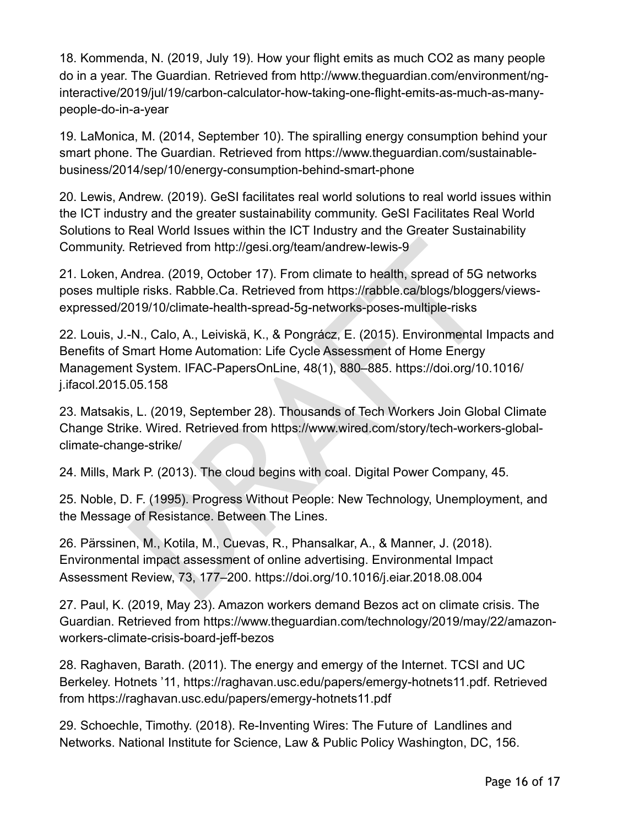18. Kommenda, N. (2019, July 19). How your flight emits as much CO2 as many people do in a year. The Guardian. Retrieved from http://www.theguardian.com/environment/nginteractive/2019/jul/19/carbon-calculator-how-taking-one-flight-emits-as-much-as-manypeople-do-in-a-year

19. LaMonica, M. (2014, September 10). The spiralling energy consumption behind your smart phone. The Guardian. Retrieved from https://www.theguardian.com/sustainablebusiness/2014/sep/10/energy-consumption-behind-smart-phone

20. Lewis, Andrew. (2019). GeSI facilitates real world solutions to real world issues within the ICT industry and the greater sustainability community. GeSI Facilitates Real World Solutions to Real World Issues within the ICT Industry and the Greater Sustainability Community. Retrieved from http://gesi.org/team/andrew-lewis-9

21. Loken, Andrea. (2019, October 17). From climate to health, spread of 5G networks poses multiple risks. Rabble.Ca. Retrieved from https://rabble.ca/blogs/bloggers/viewsexpressed/2019/10/climate-health-spread-5g-networks-poses-multiple-risks

Retrieved from http://gesi.org/team/andrew-lewis-9<br>
ndrea. (2019, October 17). From climate to health, spread of 5G n<br>
ble risks. Rabble.Ca. Retrieved from https://rabble.ca/blogs/blogger<br>
019/10/climate-health-spread-5g-n 22. Louis, J.-N., Calo, A., Leiviskä, K., & Pongrácz, E. (2015). Environmental Impacts and Benefits of Smart Home Automation: Life Cycle Assessment of Home Energy Management System. IFAC-PapersOnLine, 48(1), 880–885. https://doi.org/10.1016/ j.ifacol.2015.05.158

23. Matsakis, L. (2019, September 28). Thousands of Tech Workers Join Global Climate Change Strike. Wired. Retrieved from https://www.wired.com/story/tech-workers-globalclimate-change-strike/

24. Mills, Mark P. (2013). The cloud begins with coal. Digital Power Company, 45.

25. Noble, D. F. (1995). Progress Without People: New Technology, Unemployment, and the Message of Resistance. Between The Lines.

26. Pärssinen, M., Kotila, M., Cuevas, R., Phansalkar, A., & Manner, J. (2018). Environmental impact assessment of online advertising. Environmental Impact Assessment Review, 73, 177–200. https://doi.org/10.1016/j.eiar.2018.08.004

27. Paul, K. (2019, May 23). Amazon workers demand Bezos act on climate crisis. The Guardian. Retrieved from https://www.theguardian.com/technology/2019/may/22/amazonworkers-climate-crisis-board-jeff-bezos

28. Raghaven, Barath. (2011). The energy and emergy of the Internet. TCSI and UC Berkeley. Hotnets '11, https://raghavan.usc.edu/papers/emergy-hotnets11.pdf. Retrieved from https://raghavan.usc.edu/papers/emergy-hotnets11.pdf

29. Schoechle, Timothy. (2018). Re-Inventing Wires: The Future of Landlines and Networks. National Institute for Science, Law & Public Policy Washington, DC, 156.